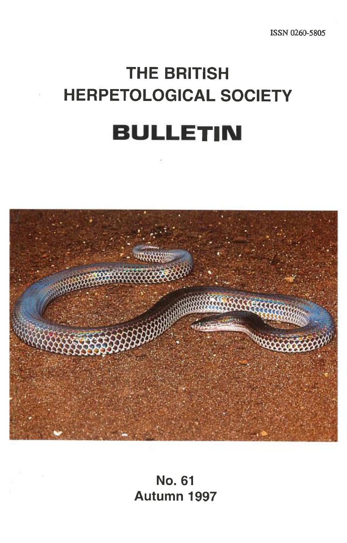# **THE BRITISH HERPETOLOGICAL SOCIETY BULLETIN**



**No. 61 Autumn 1997**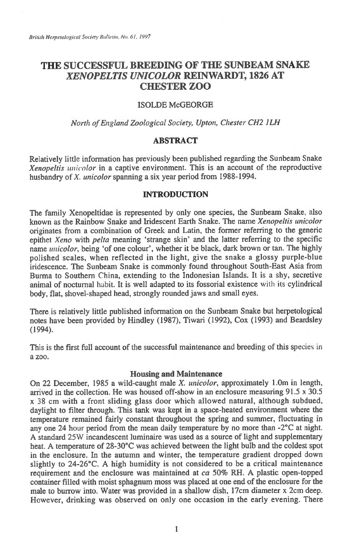## **THE SUCCESSFUI, BREEDING OF THE SUNBEAM SNAKE**  *XENOPELTIS UNICOLOR* **REINWARDT, 1826 AT CHESTER ZOO**

#### ISOLDE McGEORGE

#### *North of England Zoological Society, Upton, Chester CH2 ILH*

## **ABSTRACT**

Relatively little information has previously been published regarding the Sunbeam Snake *Xenopeltis unicolor in* a captive environment. This is an account of the reproductive husbandry of *X. unicolor* spanning a six year period from 1988-1994.

#### INTRODUCTION

The family Xenopeltidae is represented by only one species, the Sunbeam Snake, also known as the Rainbow Snake and Iridescent Earth Snake. The name *Xenopeltis unicolor*  originates from a combination of Greek and Latin, the former referring to the generic epithet *Xeno* with *pelta* meaning 'strange skin' and the latter referring to the specific name *unicolor,* being 'of one colour', whether it be black, dark brown or tan. The highly polished scales, when reflected in the light, give the snake a glossy purple-blue iridescence. The Sunbeam Snake is commonly found throughout South-East Asia from Burma to Southern China, extending to the Indonesian Islands. It is a shy, secretive animal of nocturnal habit. It is well adapted to its fossorial existence with its cylindrical body, flat, shovel-shaped head, strongly rounded jaws and small eyes.

There is relatively little published information on the Sunbeam Snake but herpetological notes have been provided by Hindley (1987), Tiwari (1992), Cox (1993) and Beardsley (1994).

This is the first full account of the successful maintenance and breeding of this species in a zoo.

#### **Housing and Maintenance**

On 22 December, 1985 a wild-caught male *X. unicolor,* approximately 1.0m in length, arrived in the collection. He was housed off-show in an enclosure measuring 91.5 x 30.5 x 38 cm with a front sliding glass door which allowed natural, although subdued, daylight to filter through. This tank was kept in a space-heated environment where the temperature remained fairly constant throughout the spring and summer, fluctuating in any one 24 hour period from the mean daily temperature by no more than -2°C at night. A standard 25W incandescent luminaire was used as a source of light and supplementary heat. A temperature of 28-30°C was achieved between the light bulb and the coldest spot in the enclosure. In the autumn and winter, the temperature gradient dropped down slightly to 24-26°C. A high humidity is not considered to be a critical maintenance requirement and the enclosure was maintained at *ca* 50% RH. A plastic open-topped container filled with moist sphagnum moss was placed at one end of the enclosure for the male to burrow into. Water was provided in a shallow dish, 17cm diameter x 2cm deep. However, drinking was observed on only one occasion in the early evening. There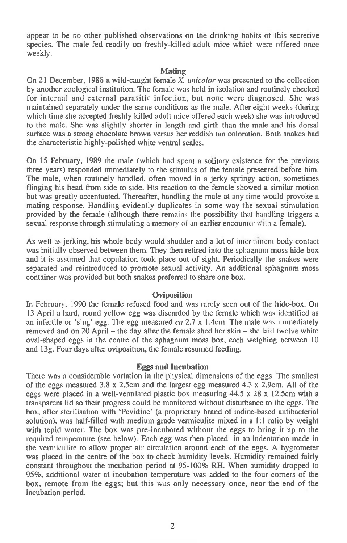**appear to be no other published observations on the drinking habits of this secretive species. The male fed readily on freshly-killed adult mice which were offered once weekly.** 

### **Mating**

**On 21 December, 1988 a wild-caught female** *X. unicolor* **was presented to the collection by another zoological institution. The female was held in isolation and routinely checked for internal and external parasitic infection, but none were diagnosed. She was maintained separately under the same conditions as the male. After eight weeks (during which time she accepted freshly killed adult mice offered each week) she was introduced to the male. She was slightly shorter in length and girth than the male and his dorsal surface was a strong chocolate brown versus her reddish tan coloration. Both snakes had the characteristic highly-polished white ventral scales.** 

**On 15 February, 1989 the male (which had spent a solitary existence for the previous three years) responded immediately to the stimulus of the female presented before him. The male, when routinely handled, often moved in a jerky springy action, sometimes flinging his head from side to side. His reaction to the female showed a similar motion but was greatly accentuated. Thereafter, handling the male at any time would provoke a mating response. Handling evidently duplicates in some way the sexual stimulation provided by the female (although there remains the possibility that handling triggers a sexual response through stimulating a memory of an earlier encounter With a female).** 

**As well as jerking, his whole body would shudder and a lot of** intermittent **body contact was initially observed between them. They then retired into the** sphagnum **moss hide-box and it is assumed that copulation took place out of sight. Periodically the snakes were separated and reintroduced to promote sexual activity. An additional sphagnum moss container was provided but both snakes preferred to share one box.** 

## **Oviposition**

**In February. 1990 the female refused food and was rarely seen out of the hide-box. On 13 April a hard, round yellow egg was discarded by the female which was identified as an infertile or 'slug' egg. The egg measured** *ca* **2.7 x 1.4cm. The male** was **immediately removed and on 20 April — the day after the female shed her skin — she laid twelve white oval-shaped eggs in the centre of the sphagnum moss box, each weighing between 10 and 13g. Four days after oviposition, the female resumed feeding.** 

### **Eggs and Incubation**

**There was a considerable variation in the physical dimensions of the eggs. The smallest of the eggs measured 3.8 x 2.5cm and the largest egg measured 4.3 x 2.9cm. All of the eggs were placed in a well-ventilated plastic box measuring 44.5 x 28 x 12.5cm with a transparent lid so their progress could be monitored without disturbance to the eggs. The box, after sterilisation with `Pevidine' (a proprietary brand of iodine-based antibacterial solution), was half-filled with medium grade vermiculite mixed in a 1:1 ratio by weight with tepid water. The box was pre-incubated without the eggs to bring it up to the required temperature (see below). Each egg was then placed in an indentation made in the vermiculite to allow proper air circulation around each of the eggs. A hygrometer was placed in the centre of the box to check humidity levels. Humidity remained fairly constant throughout the incubation period at 95-100% RH. When humidity dropped to 95%, additional water at incubation temperature was added to the four corners of the box, remote from the eggs; but this** was **only necessary once, near the end of the incubation period.**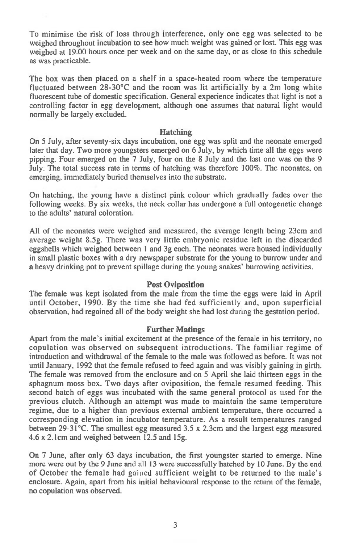To minimise the risk of loss through interference, only one egg was selected to be weighed throughout incubation to see how much weight was gained or lost. This egg was weighed at 19.00 hours once per week and on the same day, or as close to this schedule as was practicable.

The box was then placed on a shelf in a space-heated room where the temperature fluctuated between 28-30°C and the room was lit artificially by a 2m long white fluorescent tube of domestic specification. General experience indicates that light is not a controlling factor in egg development, although one assumes that natural light would normally be largely excluded.

## **Hatching**

On 5 July, after seventy-six days incubation, one egg was split and the neonate emerged later that day. Two more youngsters emerged on 6 July, by which time all the eggs were pipping. Four emerged on the 7 July, four on the 8 July and the last one was on the 9 July. The total success rate in terms of hatching was therefore 100%. The neonates, on emerging, immediately buried themselves into the substrate.

On hatching, the young have a distinct pink colour which gradually fades over the following weeks. By six weeks, the neck collar has undergone a full ontogenetic change to the adults' natural coloration.

All of the neonates were weighed and measured, the average length being 23cm and average weight 8.5g. There was very little embryonic residue left in the discarded eggshells which weighed between 1 and 3g each. The neonates were housed individually in small plastic boxes with a dry newspaper substrate for the young to burrow under and a heavy drinking pot to prevent spillage during the young snakes' burrowing activities.

## **Post Oviposition**

**The** female was kept isolated from the male from the time the eggs were laid in April until October, 1990. By the time she had fed sufficiently and, upon superficial observation, had regained all of the body weight she had lost during the gestation period.

## **Further Matings**

Apart from the male's initial excitement at the presence of the female in his territory, no copulation was observed on subsequent introductions. The familiar regime of introduction and withdrawal of the female to the male was followed as before. It was not until January, 1992 that the female refused to feed again and was visibly gaining in girth. The female was removed from the enclosure and on 5 April she laid thirteen eggs in the sphagnum moss box. Two days after oviposition, the female resumed feeding. This second batch of eggs was incubated with the same general protocol as used for the previous clutch. Although an attempt was made to maintain the same temperature regime, due to a higher than previous external ambient temperature, there occurred a corresponding elevation in incubator temperature. As a result temperatures ranged between 29-31°C. The smallest egg measured 3.5 x 2.3cm and the largest egg measured 4.6 x 2.1cm and weighed between 12.5 and 15g.

On 7 June, after only 63 days incubation, the first youngster started to emerge. Nine more were out by the 9 June and all 13 were successfully hatched by 10 June. By the end of October the female had gained sufficient weight to be returned to the male's enclosure. Again, apart from his initial behavioural response to the return of the female, no copulation was observed.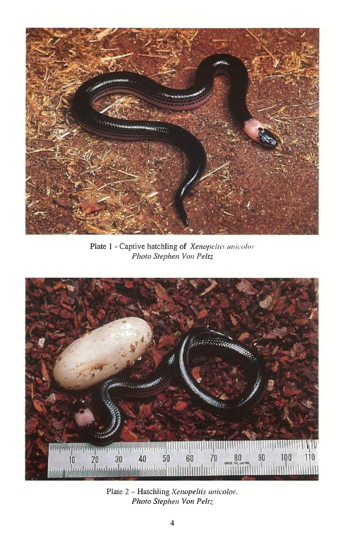

Plate 1 - Captive hatchling of Xenopeltis unicolor Photo Stephen Von Peltz



Plate 2 - Hatchling Xenopeltis unicolor. Photo Stephen Von Peltz